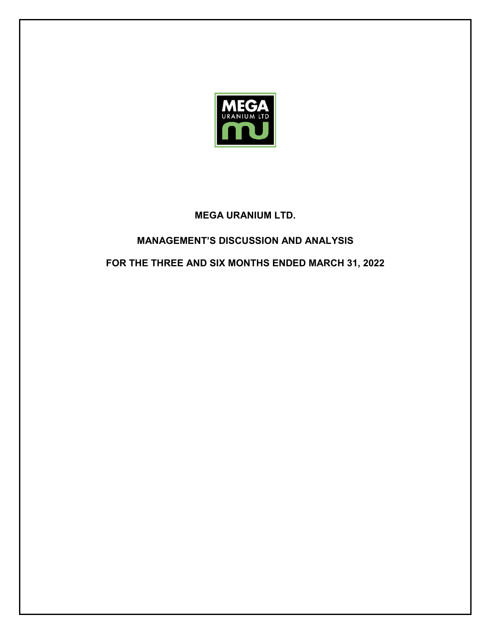

## **MEGA URANIUM LTD.**

# **MANAGEMENT'S DISCUSSION AND ANALYSIS**

# **FOR THE THREE AND SIX MONTHS ENDED MARCH 31, 2022**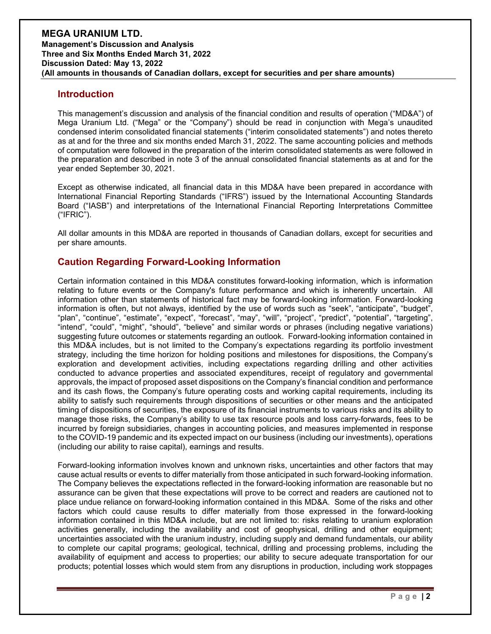### **Introduction**

This management's discussion and analysis of the financial condition and results of operation ("MD&A") of Mega Uranium Ltd. ("Mega" or the "Company") should be read in conjunction with Mega's unaudited condensed interim consolidated financial statements ("interim consolidated statements") and notes thereto as at and for the three and six months ended March 31, 2022. The same accounting policies and methods of computation were followed in the preparation of the interim consolidated statements as were followed in the preparation and described in note 3 of the annual consolidated financial statements as at and for the year ended September 30, 2021.

Except as otherwise indicated, all financial data in this MD&A have been prepared in accordance with International Financial Reporting Standards ("IFRS") issued by the International Accounting Standards Board ("IASB") and interpretations of the International Financial Reporting Interpretations Committee ("IFRIC").

All dollar amounts in this MD&A are reported in thousands of Canadian dollars, except for securities and per share amounts.

### **Caution Regarding Forward-Looking Information**

Certain information contained in this MD&A constitutes forward-looking information, which is information relating to future events or the Company's future performance and which is inherently uncertain. All information other than statements of historical fact may be forward-looking information. Forward-looking information is often, but not always, identified by the use of words such as "seek", "anticipate", "budget", "plan", "continue", "estimate", "expect", "forecast", "may", "will", "project", "predict", "potential", "targeting", "intend", "could", "might", "should", "believe" and similar words or phrases (including negative variations) suggesting future outcomes or statements regarding an outlook. Forward-looking information contained in this MD&A includes, but is not limited to the Company's expectations regarding its portfolio investment strategy, including the time horizon for holding positions and milestones for dispositions, the Company's exploration and development activities, including expectations regarding drilling and other activities conducted to advance properties and associated expenditures, receipt of regulatory and governmental approvals, the impact of proposed asset dispositions on the Company's financial condition and performance and its cash flows, the Company's future operating costs and working capital requirements, including its ability to satisfy such requirements through dispositions of securities or other means and the anticipated timing of dispositions of securities, the exposure of its financial instruments to various risks and its ability to manage those risks, the Company's ability to use tax resource pools and loss carry-forwards, fees to be incurred by foreign subsidiaries, changes in accounting policies, and measures implemented in response to the COVID-19 pandemic and its expected impact on our business (including our investments), operations (including our ability to raise capital), earnings and results.

Forward-looking information involves known and unknown risks, uncertainties and other factors that may cause actual results or events to differ materially from those anticipated in such forward-looking information. The Company believes the expectations reflected in the forward-looking information are reasonable but no assurance can be given that these expectations will prove to be correct and readers are cautioned not to place undue reliance on forward-looking information contained in this MD&A. Some of the risks and other factors which could cause results to differ materially from those expressed in the forward-looking information contained in this MD&A include, but are not limited to: risks relating to uranium exploration activities generally, including the availability and cost of geophysical, drilling and other equipment; uncertainties associated with the uranium industry, including supply and demand fundamentals, our ability to complete our capital programs; geological, technical, drilling and processing problems, including the availability of equipment and access to properties; our ability to secure adequate transportation for our products; potential losses which would stem from any disruptions in production, including work stoppages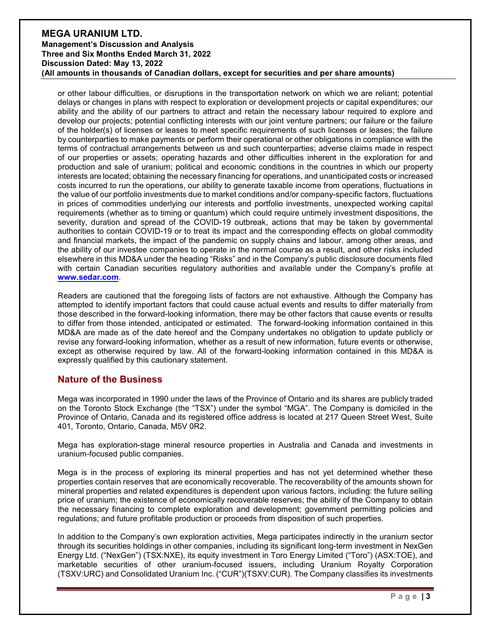or other labour difficulties, or disruptions in the transportation network on which we are reliant; potential delays or changes in plans with respect to exploration or development projects or capital expenditures; our ability and the ability of our partners to attract and retain the necessary labour required to explore and develop our projects; potential conflicting interests with our joint venture partners; our failure or the failure of the holder(s) of licenses or leases to meet specific requirements of such licenses or leases; the failure by counterparties to make payments or perform their operational or other obligations in compliance with the terms of contractual arrangements between us and such counterparties; adverse claims made in respect of our properties or assets; operating hazards and other difficulties inherent in the exploration for and production and sale of uranium; political and economic conditions in the countries in which our property interests are located; obtaining the necessary financing for operations, and unanticipated costs or increased costs incurred to run the operations, our ability to generate taxable income from operations, fluctuations in the value of our portfolio investments due to market conditions and/or company-specific factors, fluctuations in prices of commodities underlying our interests and portfolio investments, unexpected working capital requirements (whether as to timing or quantum) which could require untimely investment dispositions, the severity, duration and spread of the COVID-19 outbreak, actions that may be taken by governmental authorities to contain COVID-19 or to treat its impact and the corresponding effects on global commodity and financial markets, the impact of the pandemic on supply chains and labour, among other areas, and the ability of our investee companies to operate in the normal course as a result, and other risks included elsewhere in this MD&A under the heading "Risks" and in the Company's public disclosure documents filed with certain Canadian securities regulatory authorities and available under the Company's profile at **[www.sedar.com](http://www.sedar.com/)**.

Readers are cautioned that the foregoing lists of factors are not exhaustive. Although the Company has attempted to identify important factors that could cause actual events and results to differ materially from those described in the forward-looking information, there may be other factors that cause events or results to differ from those intended, anticipated or estimated. The forward-looking information contained in this MD&A are made as of the date hereof and the Company undertakes no obligation to update publicly or revise any forward-looking information, whether as a result of new information, future events or otherwise, except as otherwise required by law. All of the forward-looking information contained in this MD&A is expressly qualified by this cautionary statement.

### **Nature of the Business**

Mega was incorporated in 1990 under the laws of the Province of Ontario and its shares are publicly traded on the Toronto Stock Exchange (the "TSX") under the symbol "MGA". The Company is domiciled in the Province of Ontario, Canada and its registered office address is located at 217 Queen Street West, Suite 401, Toronto, Ontario, Canada, M5V 0R2.

Mega has exploration-stage mineral resource properties in Australia and Canada and investments in uranium-focused public companies.

Mega is in the process of exploring its mineral properties and has not yet determined whether these properties contain reserves that are economically recoverable. The recoverability of the amounts shown for mineral properties and related expenditures is dependent upon various factors, including: the future selling price of uranium; the existence of economically recoverable reserves; the ability of the Company to obtain the necessary financing to complete exploration and development; government permitting policies and regulations; and future profitable production or proceeds from disposition of such properties.

In addition to the Company's own exploration activities, Mega participates indirectly in the uranium sector through its securities holdings in other companies, including its significant long-term investment in NexGen Energy Ltd. ("NexGen") (TSX:NXE), its equity investment in Toro Energy Limited ("Toro") (ASX:TOE), and marketable securities of other uranium-focused issuers, including Uranium Royalty Corporation (TSXV:URC) and Consolidated Uranium Inc. ("CUR")(TSXV:CUR). The Company classifies its investments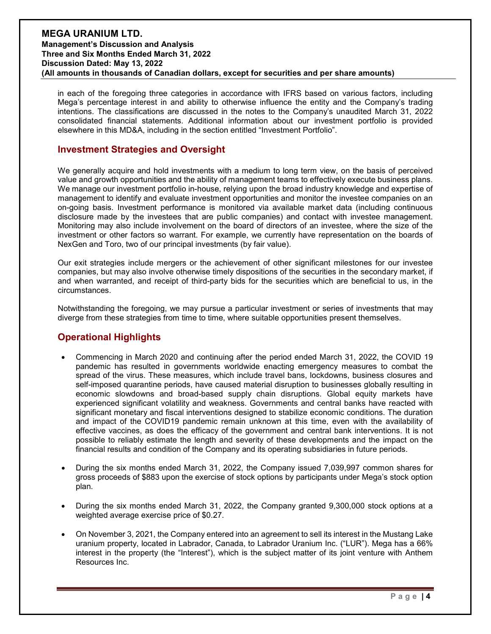in each of the foregoing three categories in accordance with IFRS based on various factors, including Mega's percentage interest in and ability to otherwise influence the entity and the Company's trading intentions. The classifications are discussed in the notes to the Company's unaudited March 31, 2022 consolidated financial statements. Additional information about our investment portfolio is provided elsewhere in this MD&A, including in the section entitled "Investment Portfolio".

### **Investment Strategies and Oversight**

We generally acquire and hold investments with a medium to long term view, on the basis of perceived value and growth opportunities and the ability of management teams to effectively execute business plans. We manage our investment portfolio in-house, relying upon the broad industry knowledge and expertise of management to identify and evaluate investment opportunities and monitor the investee companies on an on-going basis. Investment performance is monitored via available market data (including continuous disclosure made by the investees that are public companies) and contact with investee management. Monitoring may also include involvement on the board of directors of an investee, where the size of the investment or other factors so warrant. For example, we currently have representation on the boards of NexGen and Toro, two of our principal investments (by fair value).

Our exit strategies include mergers or the achievement of other significant milestones for our investee companies, but may also involve otherwise timely dispositions of the securities in the secondary market, if and when warranted, and receipt of third-party bids for the securities which are beneficial to us, in the circumstances.

Notwithstanding the foregoing, we may pursue a particular investment or series of investments that may diverge from these strategies from time to time, where suitable opportunities present themselves.

### **Operational Highlights**

- Commencing in March 2020 and continuing after the period ended March 31, 2022, the COVID 19 pandemic has resulted in governments worldwide enacting emergency measures to combat the spread of the virus. These measures, which include travel bans, lockdowns, business closures and self-imposed quarantine periods, have caused material disruption to businesses globally resulting in economic slowdowns and broad-based supply chain disruptions. Global equity markets have experienced significant volatility and weakness. Governments and central banks have reacted with significant monetary and fiscal interventions designed to stabilize economic conditions. The duration and impact of the COVID19 pandemic remain unknown at this time, even with the availability of effective vaccines, as does the efficacy of the government and central bank interventions. It is not possible to reliably estimate the length and severity of these developments and the impact on the financial results and condition of the Company and its operating subsidiaries in future periods.
- During the six months ended March 31, 2022, the Company issued 7,039,997 common shares for gross proceeds of \$883 upon the exercise of stock options by participants under Mega's stock option plan.
- During the six months ended March 31, 2022, the Company granted 9,300,000 stock options at a weighted average exercise price of \$0.27.
- On November 3, 2021, the Company entered into an agreement to sell its interest in the Mustang Lake uranium property, located in Labrador, Canada, to Labrador Uranium Inc. ("LUR"). Mega has a 66% interest in the property (the "Interest"), which is the subject matter of its joint venture with Anthem Resources Inc.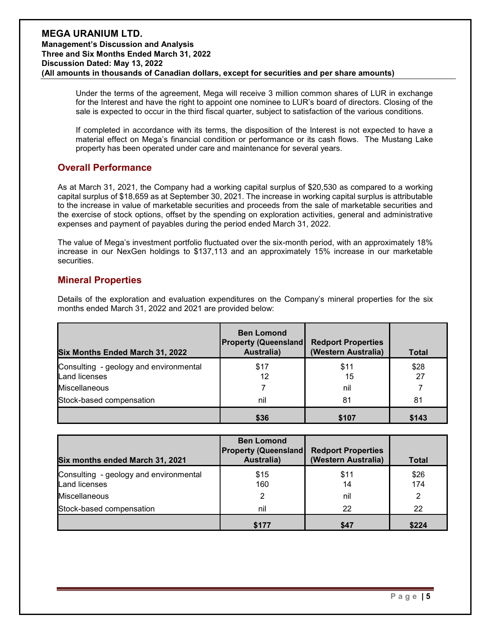Under the terms of the agreement, Mega will receive 3 million common shares of LUR in exchange for the Interest and have the right to appoint one nominee to LUR's board of directors. Closing of the sale is expected to occur in the third fiscal quarter, subject to satisfaction of the various conditions.

If completed in accordance with its terms, the disposition of the Interest is not expected to have a material effect on Mega's financial condition or performance or its cash flows. The Mustang Lake property has been operated under care and maintenance for several years.

### **Overall Performance**

As at March 31, 2021, the Company had a working capital surplus of \$20,530 as compared to a working capital surplus of \$18,659 as at September 30, 2021. The increase in working capital surplus is attributable to the increase in value of marketable securities and proceeds from the sale of marketable securities and the exercise of stock options, offset by the spending on exploration activities, general and administrative expenses and payment of payables during the period ended March 31, 2022.

The value of Mega's investment portfolio fluctuated over the six-month period, with an approximately 18% increase in our NexGen holdings to \$137,113 and an approximately 15% increase in our marketable securities.

### **Mineral Properties**

Details of the exploration and evaluation expenditures on the Company's mineral properties for the six months ended March 31, 2022 and 2021 are provided below:

| Six Months Ended March 31, 2022                                | <b>Ben Lomond</b><br><b>Property (Queensland</b><br>Australia) | <b>Redport Properties</b><br>(Western Australia) | Total      |
|----------------------------------------------------------------|----------------------------------------------------------------|--------------------------------------------------|------------|
| Consulting - geology and environmental<br><b>Land licenses</b> | \$17<br>12                                                     | \$11<br>15                                       | \$28<br>27 |
| Miscellaneous                                                  |                                                                | nil                                              |            |
| Stock-based compensation                                       | nil                                                            | 81                                               | 81         |
|                                                                | \$36                                                           | \$107                                            | \$143      |

| Six months ended March 31, 2021                                | <b>Ben Lomond</b><br><b>Property (Queensland</b><br>Australia) | <b>Redport Properties</b><br>(Western Australia) | <b>Total</b> |
|----------------------------------------------------------------|----------------------------------------------------------------|--------------------------------------------------|--------------|
| Consulting - geology and environmental<br><b>Land licenses</b> | \$15<br>160                                                    | \$11<br>14                                       | \$26<br>174  |
| <b>Miscellaneous</b>                                           | 2                                                              | nil                                              | 2            |
| Stock-based compensation                                       | nil                                                            | 22                                               | 22           |
|                                                                | \$177                                                          | \$47                                             | \$224        |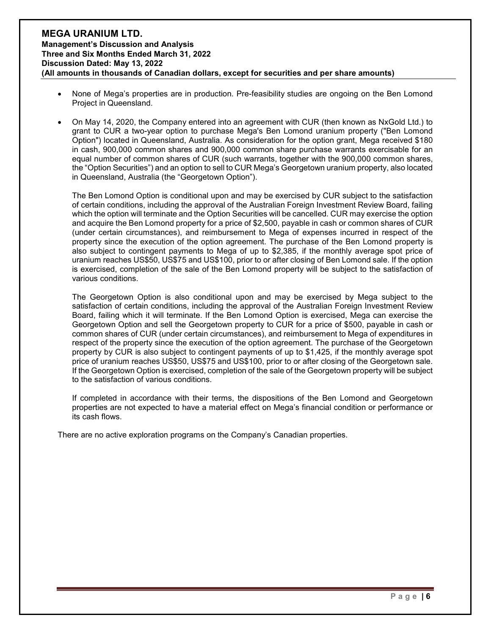- None of Mega's properties are in production. Pre-feasibility studies are ongoing on the Ben Lomond Project in Queensland.
- On May 14, 2020, the Company entered into an agreement with CUR (then known as NxGold Ltd.) to grant to CUR a two-year option to purchase Mega's Ben Lomond uranium property ("Ben Lomond Option") located in Queensland, Australia. As consideration for the option grant, Mega received \$180 in cash, 900,000 common shares and 900,000 common share purchase warrants exercisable for an equal number of common shares of CUR (such warrants, together with the 900,000 common shares, the "Option Securities") and an option to sell to CUR Mega's Georgetown uranium property, also located in Queensland, Australia (the "Georgetown Option").

The Ben Lomond Option is conditional upon and may be exercised by CUR subject to the satisfaction of certain conditions, including the approval of the Australian Foreign Investment Review Board, failing which the option will terminate and the Option Securities will be cancelled. CUR may exercise the option and acquire the Ben Lomond property for a price of \$2,500, payable in cash or common shares of CUR (under certain circumstances), and reimbursement to Mega of expenses incurred in respect of the property since the execution of the option agreement. The purchase of the Ben Lomond property is also subject to contingent payments to Mega of up to \$2,385, if the monthly average spot price of uranium reaches US\$50, US\$75 and US\$100, prior to or after closing of Ben Lomond sale. If the option is exercised, completion of the sale of the Ben Lomond property will be subject to the satisfaction of various conditions.

The Georgetown Option is also conditional upon and may be exercised by Mega subject to the satisfaction of certain conditions, including the approval of the Australian Foreign Investment Review Board, failing which it will terminate. If the Ben Lomond Option is exercised, Mega can exercise the Georgetown Option and sell the Georgetown property to CUR for a price of \$500, payable in cash or common shares of CUR (under certain circumstances), and reimbursement to Mega of expenditures in respect of the property since the execution of the option agreement. The purchase of the Georgetown property by CUR is also subject to contingent payments of up to \$1,425, if the monthly average spot price of uranium reaches US\$50, US\$75 and US\$100, prior to or after closing of the Georgetown sale. If the Georgetown Option is exercised, completion of the sale of the Georgetown property will be subject to the satisfaction of various conditions.

If completed in accordance with their terms, the dispositions of the Ben Lomond and Georgetown properties are not expected to have a material effect on Mega's financial condition or performance or its cash flows.

There are no active exploration programs on the Company's Canadian properties.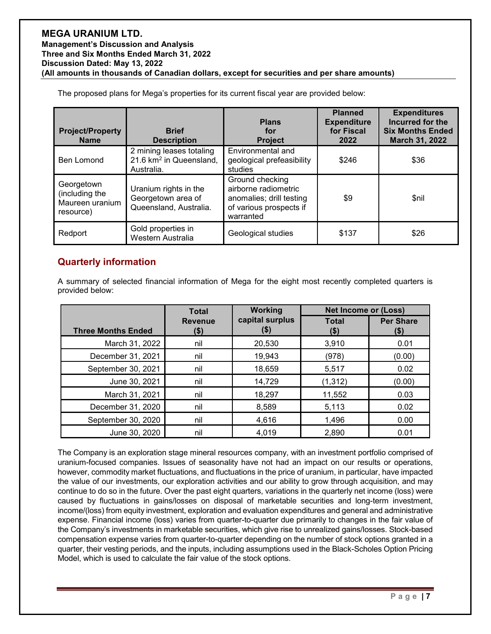| <b>Project/Property</b><br><b>Name</b>                       | <b>Brief</b><br><b>Description</b>                                            | <b>Plans</b><br>for<br><b>Project</b>                                                                       | <b>Planned</b><br><b>Expenditure</b><br>for Fiscal<br>2022 | <b>Expenditures</b><br>Incurred for the<br><b>Six Months Ended</b><br>March 31, 2022 |
|--------------------------------------------------------------|-------------------------------------------------------------------------------|-------------------------------------------------------------------------------------------------------------|------------------------------------------------------------|--------------------------------------------------------------------------------------|
| Ben Lomond                                                   | 2 mining leases totaling<br>21.6 km <sup>2</sup> in Queensland,<br>Australia. | Environmental and<br>geological prefeasibility<br>studies                                                   | \$246                                                      | \$36                                                                                 |
| Georgetown<br>(including the<br>Maureen uranium<br>resource) | Uranium rights in the<br>Georgetown area of<br>Queensland, Australia.         | Ground checking<br>airborne radiometric<br>anomalies; drill testing<br>of various prospects if<br>warranted | \$9                                                        | \$nil                                                                                |
| Redport                                                      | Gold properties in<br>Western Australia                                       | Geological studies                                                                                          | \$137                                                      | \$26                                                                                 |

The proposed plans for Mega's properties for its current fiscal year are provided below:

### **Quarterly information**

A summary of selected financial information of Mega for the eight most recently completed quarters is provided below:

|                           | <b>Total</b>           | Working                 | <b>Net Income or (Loss)</b> |                          |
|---------------------------|------------------------|-------------------------|-----------------------------|--------------------------|
| <b>Three Months Ended</b> | <b>Revenue</b><br>(\$) | capital surplus<br>(\$) | <b>Total</b><br>\$)         | <b>Per Share</b><br>(\$) |
| March 31, 2022            | nil                    | 20,530                  | 3,910                       | 0.01                     |
| December 31, 2021         | nil                    | 19,943                  | (978)                       | (0.00)                   |
| September 30, 2021        | nil                    | 18,659                  | 5,517                       | 0.02                     |
| June 30, 2021             | nil                    | 14,729                  | (1, 312)                    | (0.00)                   |
| March 31, 2021            | nil                    | 18,297                  | 11,552                      | 0.03                     |
| December 31, 2020         | nil                    | 8,589                   | 5,113                       | 0.02                     |
| September 30, 2020        | nil                    | 4,616                   | 1,496                       | 0.00                     |
| June 30, 2020             | nil                    | 4,019                   | 2,890                       | 0.01                     |

The Company is an exploration stage mineral resources company, with an investment portfolio comprised of uranium-focused companies. Issues of seasonality have not had an impact on our results or operations, however, commodity market fluctuations, and fluctuations in the price of uranium, in particular, have impacted the value of our investments, our exploration activities and our ability to grow through acquisition, and may continue to do so in the future. Over the past eight quarters, variations in the quarterly net income (loss) were caused by fluctuations in gains/losses on disposal of marketable securities and long-term investment, income/(loss) from equity investment, exploration and evaluation expenditures and general and administrative expense. Financial income (loss) varies from quarter-to-quarter due primarily to changes in the fair value of the Company's investments in marketable securities, which give rise to unrealized gains/losses. Stock-based compensation expense varies from quarter-to-quarter depending on the number of stock options granted in a quarter, their vesting periods, and the inputs, including assumptions used in the Black-Scholes Option Pricing Model, which is used to calculate the fair value of the stock options.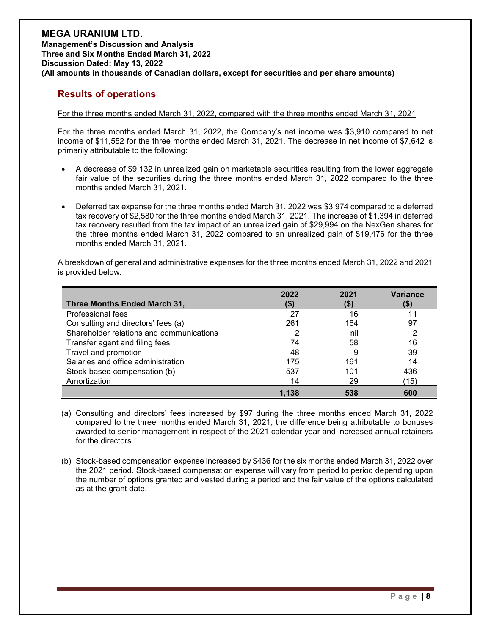### **Results of operations**

#### For the three months ended March 31, 2022, compared with the three months ended March 31, 2021

For the three months ended March 31, 2022, the Company's net income was \$3,910 compared to net income of \$11,552 for the three months ended March 31, 2021. The decrease in net income of \$7,642 is primarily attributable to the following:

- A decrease of \$9,132 in unrealized gain on marketable securities resulting from the lower aggregate fair value of the securities during the three months ended March 31, 2022 compared to the three months ended March 31, 2021.
- Deferred tax expense for the three months ended March 31, 2022 was \$3,974 compared to a deferred tax recovery of \$2,580 for the three months ended March 31, 2021. The increase of \$1,394 in deferred tax recovery resulted from the tax impact of an unrealized gain of \$29,994 on the NexGen shares for the three months ended March 31, 2022 compared to an unrealized gain of \$19,476 for the three months ended March 31, 2021.

A breakdown of general and administrative expenses for the three months ended March 31, 2022 and 2021 is provided below.

| Three Months Ended March 31,             | 2022  | 2021 | <b>Variance</b> |
|------------------------------------------|-------|------|-----------------|
| Professional fees                        | 27    | 16   | 11              |
| Consulting and directors' fees (a)       | 261   | 164  | 97              |
| Shareholder relations and communications |       | nil  | 2               |
| Transfer agent and filing fees           | 74    | 58   | 16              |
| Travel and promotion                     | 48    | 9    | 39              |
| Salaries and office administration       | 175   | 161  | 14              |
| Stock-based compensation (b)             | 537   | 101  | 436             |
| Amortization                             | 14    | 29   | ั15)            |
|                                          | 1.138 | 538  | 600             |

(a) Consulting and directors' fees increased by \$97 during the three months ended March 31, 2022 compared to the three months ended March 31, 2021, the difference being attributable to bonuses awarded to senior management in respect of the 2021 calendar year and increased annual retainers for the directors.

(b) Stock-based compensation expense increased by \$436 for the six months ended March 31, 2022 over the 2021 period. Stock-based compensation expense will vary from period to period depending upon the number of options granted and vested during a period and the fair value of the options calculated as at the grant date.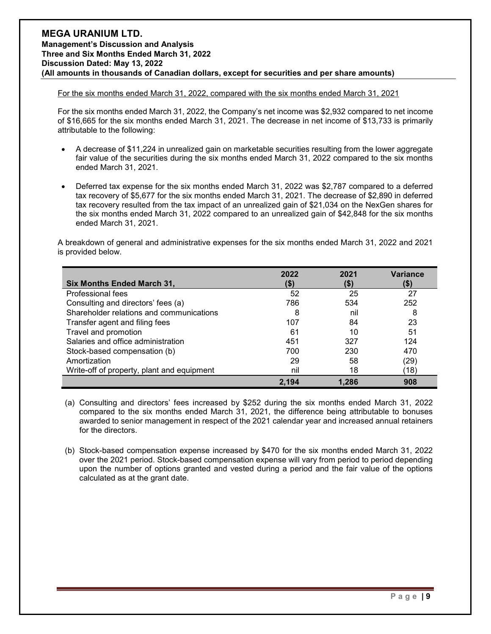#### For the six months ended March 31, 2022, compared with the six months ended March 31, 2021

For the six months ended March 31, 2022, the Company's net income was \$2,932 compared to net income of \$16,665 for the six months ended March 31, 2021. The decrease in net income of \$13,733 is primarily attributable to the following:

- A decrease of \$11,224 in unrealized gain on marketable securities resulting from the lower aggregate fair value of the securities during the six months ended March 31, 2022 compared to the six months ended March 31, 2021.
- Deferred tax expense for the six months ended March 31, 2022 was \$2,787 compared to a deferred tax recovery of \$5,677 for the six months ended March 31, 2021. The decrease of \$2,890 in deferred tax recovery resulted from the tax impact of an unrealized gain of \$21,034 on the NexGen shares for the six months ended March 31, 2022 compared to an unrealized gain of \$42,848 for the six months ended March 31, 2021.

A breakdown of general and administrative expenses for the six months ended March 31, 2022 and 2021 is provided below.

| Six Months Ended March 31,                 | 2022  | 2021  | <b>Variance</b><br>(\$) |
|--------------------------------------------|-------|-------|-------------------------|
| Professional fees                          | 52    | 25    | 27                      |
| Consulting and directors' fees (a)         | 786   | 534   | 252                     |
| Shareholder relations and communications   | 8     | nil   | 8                       |
| Transfer agent and filing fees             | 107   | 84    | 23                      |
| Travel and promotion                       | 61    | 10    | 51                      |
| Salaries and office administration         | 451   | 327   | 124                     |
| Stock-based compensation (b)               | 700   | 230   | 470                     |
| Amortization                               | 29    | 58    | (29)                    |
| Write-off of property, plant and equipment | nil   | 18    | 18)                     |
|                                            | 2.194 | 1.286 | 908                     |

- (a) Consulting and directors' fees increased by \$252 during the six months ended March 31, 2022 compared to the six months ended March 31, 2021, the difference being attributable to bonuses awarded to senior management in respect of the 2021 calendar year and increased annual retainers for the directors.
- (b) Stock-based compensation expense increased by \$470 for the six months ended March 31, 2022 over the 2021 period. Stock-based compensation expense will vary from period to period depending upon the number of options granted and vested during a period and the fair value of the options calculated as at the grant date.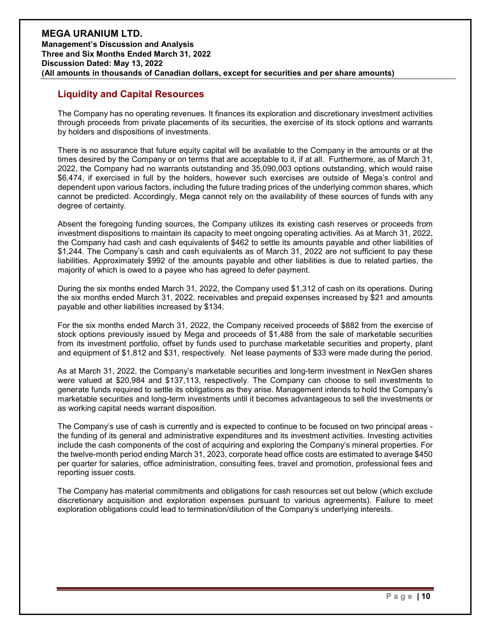### **Liquidity and Capital Resources**

The Company has no operating revenues. It finances its exploration and discretionary investment activities through proceeds from private placements of its securities, the exercise of its stock options and warrants by holders and dispositions of investments.

There is no assurance that future equity capital will be available to the Company in the amounts or at the times desired by the Company or on terms that are acceptable to it, if at all. Furthermore, as of March 31, 2022, the Company had no warrants outstanding and 35,090,003 options outstanding, which would raise \$6,474, if exercised in full by the holders, however such exercises are outside of Mega's control and dependent upon various factors, including the future trading prices of the underlying common shares, which cannot be predicted. Accordingly, Mega cannot rely on the availability of these sources of funds with any degree of certainty.

Absent the foregoing funding sources, the Company utilizes its existing cash reserves or proceeds from investment dispositions to maintain its capacity to meet ongoing operating activities. As at March 31, 2022, the Company had cash and cash equivalents of \$462 to settle its amounts payable and other liabilities of \$1,244. The Company's cash and cash equivalents as of March 31, 2022 are not sufficient to pay these liabilities. Approximately \$992 of the amounts payable and other liabilities is due to related parties, the majority of which is owed to a payee who has agreed to defer payment.

During the six months ended March 31, 2022, the Company used \$1,312 of cash on its operations. During the six months ended March 31, 2022, receivables and prepaid expenses increased by \$21 and amounts payable and other liabilities increased by \$134.

For the six months ended March 31, 2022, the Company received proceeds of \$882 from the exercise of stock options previously issued by Mega and proceeds of \$1,488 from the sale of marketable securities from its investment portfolio, offset by funds used to purchase marketable securities and property, plant and equipment of \$1,812 and \$31, respectively. Net lease payments of \$33 were made during the period.

As at March 31, 2022, the Company's marketable securities and long-term investment in NexGen shares were valued at \$20,984 and \$137,113, respectively. The Company can choose to sell investments to generate funds required to settle its obligations as they arise. Management intends to hold the Company's marketable securities and long-term investments until it becomes advantageous to sell the investments or as working capital needs warrant disposition.

The Company's use of cash is currently and is expected to continue to be focused on two principal areas the funding of its general and administrative expenditures and its investment activities. Investing activities include the cash components of the cost of acquiring and exploring the Company's mineral properties. For the twelve-month period ending March 31, 2023, corporate head office costs are estimated to average \$450 per quarter for salaries, office administration, consulting fees, travel and promotion, professional fees and reporting issuer costs.

The Company has material commitments and obligations for cash resources set out below (which exclude discretionary acquisition and exploration expenses pursuant to various agreements). Failure to meet exploration obligations could lead to termination/dilution of the Company's underlying interests.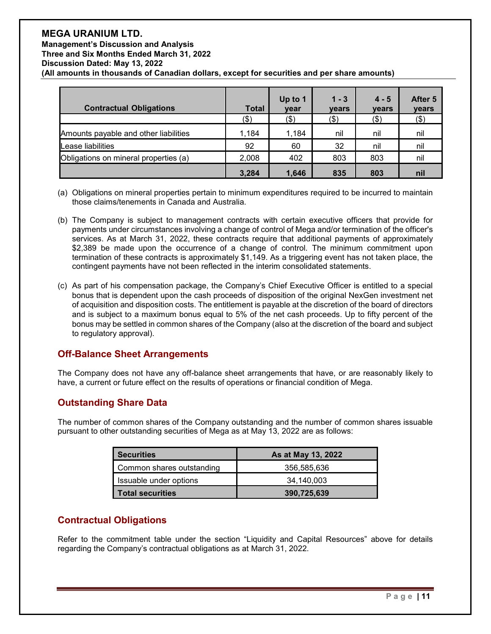| <b>Contractual Obligations</b>        | <b>Total</b> | Up to 1<br>year | $1 - 3$<br><b>vears</b> | $4 - 5$<br><b>vears</b> | After 5<br>years |
|---------------------------------------|--------------|-----------------|-------------------------|-------------------------|------------------|
|                                       | $($ \$)      | (\$)            | $($ \$)                 | (\$)                    | (3)              |
| Amounts payable and other liabilities | 1,184        | 1,184           | nil                     | nil                     | nil              |
| Lease liabilities                     | 92           | 60              | 32                      | nil                     | nil              |
| Obligations on mineral properties (a) | 2,008        | 402             | 803                     | 803                     | nil              |
|                                       | 3,284        | 1,646           | 835                     | 803                     | nil              |

- (a) Obligations on mineral properties pertain to minimum expenditures required to be incurred to maintain those claims/tenements in Canada and Australia.
- (b) The Company is subject to management contracts with certain executive officers that provide for payments under circumstances involving a change of control of Mega and/or termination of the officer's services. As at March 31, 2022, these contracts require that additional payments of approximately \$2,389 be made upon the occurrence of a change of control. The minimum commitment upon termination of these contracts is approximately \$1,149. As a triggering event has not taken place, the contingent payments have not been reflected in the interim consolidated statements.
- (c) As part of his compensation package, the Company's Chief Executive Officer is entitled to a special bonus that is dependent upon the cash proceeds of disposition of the original NexGen investment net of acquisition and disposition costs. The entitlement is payable at the discretion of the board of directors and is subject to a maximum bonus equal to 5% of the net cash proceeds. Up to fifty percent of the bonus may be settled in common shares of the Company (also at the discretion of the board and subject to regulatory approval).

### **Off-Balance Sheet Arrangements**

The Company does not have any off-balance sheet arrangements that have, or are reasonably likely to have, a current or future effect on the results of operations or financial condition of Mega.

### **Outstanding Share Data**

The number of common shares of the Company outstanding and the number of common shares issuable pursuant to other outstanding securities of Mega as at May 13, 2022 are as follows:

| <b>Securities</b>         | As at May 13, 2022 |
|---------------------------|--------------------|
| Common shares outstanding | 356,585,636        |
| Issuable under options    | 34,140,003         |
| <b>Total securities</b>   | 390,725,639        |

### **Contractual Obligations**

Refer to the commitment table under the section "Liquidity and Capital Resources" above for details regarding the Company's contractual obligations as at March 31, 2022.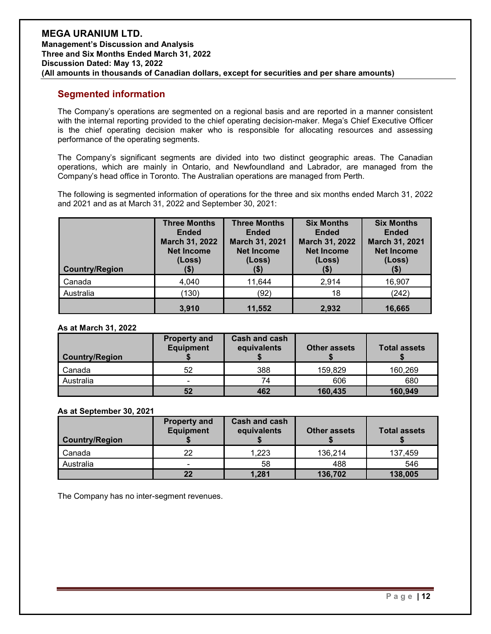### **Segmented information**

The Company's operations are segmented on a regional basis and are reported in a manner consistent with the internal reporting provided to the chief operating decision-maker. Mega's Chief Executive Officer is the chief operating decision maker who is responsible for allocating resources and assessing performance of the operating segments.

The Company's significant segments are divided into two distinct geographic areas. The Canadian operations, which are mainly in Ontario, and Newfoundland and Labrador, are managed from the Company's head office in Toronto. The Australian operations are managed from Perth.

The following is segmented information of operations for the three and six months ended March 31, 2022 and 2021 and as at March 31, 2022 and September 30, 2021:

| <b>Country/Region</b> | <b>Three Months</b><br><b>Ended</b><br>March 31, 2022<br><b>Net Income</b><br>(Loss)<br>(\$) | <b>Three Months</b><br><b>Ended</b><br>March 31, 2021<br><b>Net Income</b><br>(Loss)<br>(\$) | <b>Six Months</b><br><b>Ended</b><br>March 31, 2022<br><b>Net Income</b><br>(Loss)<br>(\$) | <b>Six Months</b><br><b>Ended</b><br>March 31, 2021<br><b>Net Income</b><br>(Loss)<br>(\$) |
|-----------------------|----------------------------------------------------------------------------------------------|----------------------------------------------------------------------------------------------|--------------------------------------------------------------------------------------------|--------------------------------------------------------------------------------------------|
| Canada                | 4,040                                                                                        | 11,644                                                                                       | 2,914                                                                                      | 16,907                                                                                     |
| Australia             | (130)                                                                                        | (92)                                                                                         | 18                                                                                         | (242)                                                                                      |
|                       | 3,910                                                                                        | 11,552                                                                                       | 2,932                                                                                      | 16,665                                                                                     |

### **As at March 31, 2022**

| <b>Country/Region</b> | <b>Property and</b><br><b>Equipment</b> | <b>Cash and cash</b><br>equivalents | <b>Other assets</b> | <b>Total assets</b> |
|-----------------------|-----------------------------------------|-------------------------------------|---------------------|---------------------|
| Canada                | 52                                      | 388                                 | 159,829             | 160,269             |
| Australia             | -                                       | 74                                  | 606                 | 680                 |
|                       | 52                                      | 462                                 | 160,435             | 160,949             |

### **As at September 30, 2021**

| <b>Country/Region</b> | <b>Property and</b><br><b>Equipment</b> | <b>Cash and cash</b><br>equivalents | <b>Other assets</b> | <b>Total assets</b> |
|-----------------------|-----------------------------------------|-------------------------------------|---------------------|---------------------|
| l Canada              | 22                                      | 1,223                               | 136,214             | 137,459             |
| Australia             |                                         | 58                                  | 488                 | 546                 |
|                       | 22                                      | 1,281                               | 136,702             | 138,005             |

The Company has no inter-segment revenues.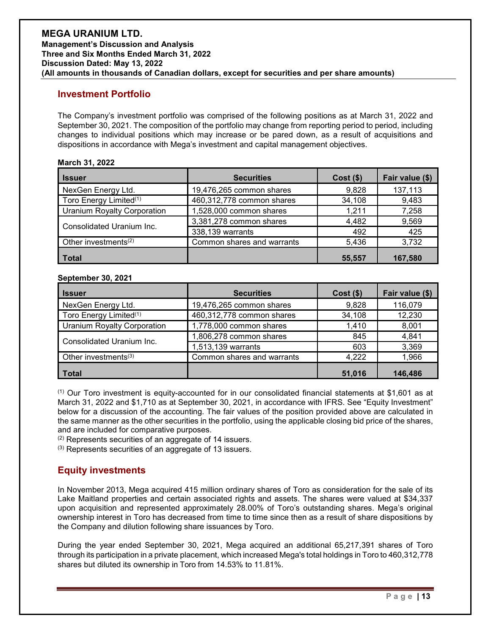### **Investment Portfolio**

The Company's investment portfolio was comprised of the following positions as at March 31, 2022 and September 30, 2021. The composition of the portfolio may change from reporting period to period, including changes to individual positions which may increase or be pared down, as a result of acquisitions and dispositions in accordance with Mega's investment and capital management objectives.

### **March 31, 2022**

| <b>Issuer</b>                      | <b>Securities</b>          | $Cost($ \$) | Fair value (\$) |
|------------------------------------|----------------------------|-------------|-----------------|
| NexGen Energy Ltd.                 | 19,476,265 common shares   | 9,828       | 137,113         |
| Toro Energy Limited <sup>(1)</sup> | 460,312,778 common shares  | 34,108      | 9,483           |
| <b>Uranium Royalty Corporation</b> | 1,528,000 common shares    | 1,211       | 7,258           |
| Consolidated Uranium Inc.          | 3,381,278 common shares    | 4,482       | 9,569           |
|                                    | 338,139 warrants           | 492         | 425             |
| Other investments <sup>(2)</sup>   | Common shares and warrants | 5,436       | 3,732           |
| <b>Total</b>                       |                            | 55.557      | 167.580         |

#### **September 30, 2021**

| <b>Issuer</b>                      | <b>Securities</b>          | $Cost($ \$) | Fair value (\$) |
|------------------------------------|----------------------------|-------------|-----------------|
| NexGen Energy Ltd.                 | 19,476,265 common shares   | 9,828       | 116,079         |
| Toro Energy Limited <sup>(1)</sup> | 460,312,778 common shares  | 34,108      | 12,230          |
| <b>Uranium Royalty Corporation</b> | 1,778,000 common shares    | 1,410       | 8,001           |
| Consolidated Uranium Inc.          | 1,806,278 common shares    | 845         | 4,841           |
|                                    | 1,513,139 warrants         | 603         | 3,369           |
| Other investments <sup>(3)</sup>   | Common shares and warrants | 4,222       | 1,966           |
| <b>Total</b>                       |                            | 51,016      | 146,486         |

(1) Our Toro investment is equity-accounted for in our consolidated financial statements at \$1,601 as at March 31, 2022 and \$1,710 as at September 30, 2021, in accordance with IFRS. See "Equity Investment" below for a discussion of the accounting. The fair values of the position provided above are calculated in the same manner as the other securities in the portfolio, using the applicable closing bid price of the shares, and are included for comparative purposes.

(2) Represents securities of an aggregate of 14 issuers.

(3) Represents securities of an aggregate of 13 issuers.

### **Equity investments**

In November 2013, Mega acquired 415 million ordinary shares of Toro as consideration for the sale of its Lake Maitland properties and certain associated rights and assets. The shares were valued at \$34,337 upon acquisition and represented approximately 28.00% of Toro's outstanding shares. Mega's original ownership interest in Toro has decreased from time to time since then as a result of share dispositions by the Company and dilution following share issuances by Toro.

During the year ended September 30, 2021, Mega acquired an additional 65,217,391 shares of Toro through its participation in a private placement, which increased Mega's total holdings in Toro to 460,312,778 shares but diluted its ownership in Toro from 14.53% to 11.81%.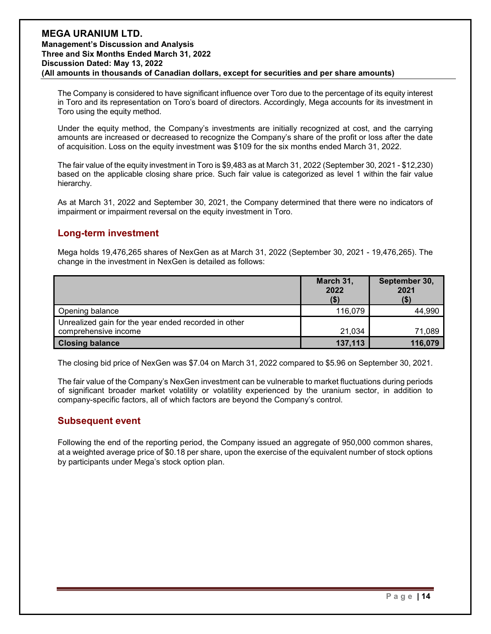The Company is considered to have significant influence over Toro due to the percentage of its equity interest in Toro and its representation on Toro's board of directors. Accordingly, Mega accounts for its investment in Toro using the equity method.

Under the equity method, the Company's investments are initially recognized at cost, and the carrying amounts are increased or decreased to recognize the Company's share of the profit or loss after the date of acquisition. Loss on the equity investment was \$109 for the six months ended March 31, 2022.

The fair value of the equity investment in Toro is \$9,483 as at March 31, 2022 (September 30, 2021 - \$12,230) based on the applicable closing share price. Such fair value is categorized as level 1 within the fair value hierarchy.

As at March 31, 2022 and September 30, 2021, the Company determined that there were no indicators of impairment or impairment reversal on the equity investment in Toro.

### **Long-term investment**

Mega holds 19,476,265 shares of NexGen as at March 31, 2022 (September 30, 2021 - 19,476,265). The change in the investment in NexGen is detailed as follows:

|                                                      | March 31,<br>2022<br>\$) | September 30,<br>2021<br>(\$) |
|------------------------------------------------------|--------------------------|-------------------------------|
| Opening balance                                      | 116,079                  | 44,990                        |
| Unrealized gain for the year ended recorded in other |                          |                               |
| comprehensive income                                 | 21.034                   | 71,089                        |
| <b>Closing balance</b>                               | 137,113                  | 116,079                       |

The closing bid price of NexGen was \$7.04 on March 31, 2022 compared to \$5.96 on September 30, 2021.

The fair value of the Company's NexGen investment can be vulnerable to market fluctuations during periods of significant broader market volatility or volatility experienced by the uranium sector, in addition to company-specific factors, all of which factors are beyond the Company's control.

### **Subsequent event**

Following the end of the reporting period, the Company issued an aggregate of 950,000 common shares, at a weighted average price of \$0.18 per share, upon the exercise of the equivalent number of stock options by participants under Mega's stock option plan.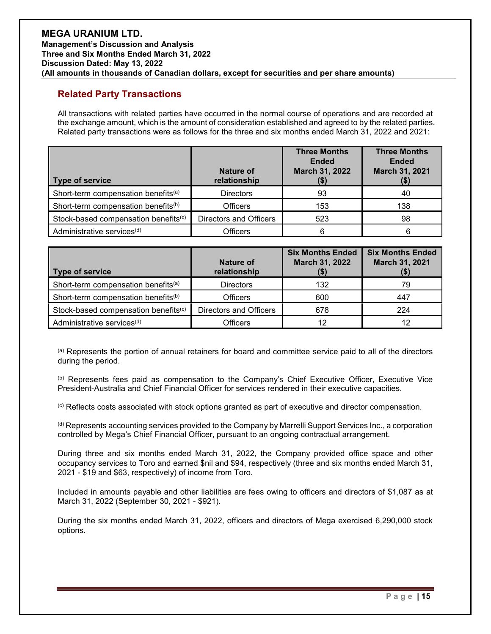### **Related Party Transactions**

All transactions with related parties have occurred in the normal course of operations and are recorded at the exchange amount, which is the amount of consideration established and agreed to by the related parties. Related party transactions were as follows for the three and six months ended March 31, 2022 and 2021:

| Type of service                                  | <b>Nature of</b><br>relationship | <b>Three Months</b><br><b>Ended</b><br>March 31, 2022<br>(\$) | <b>Three Months</b><br><b>Ended</b><br>March 31, 2021<br>(\$) |
|--------------------------------------------------|----------------------------------|---------------------------------------------------------------|---------------------------------------------------------------|
| Short-term compensation benefits <sup>(a)</sup>  | <b>Directors</b>                 | 93                                                            | 40                                                            |
| Short-term compensation benefits <sup>(b)</sup>  | <b>Officers</b>                  | 153                                                           | 138                                                           |
| Stock-based compensation benefits <sup>(c)</sup> | Directors and Officers           | 523                                                           | 98                                                            |
| Administrative services <sup>(d)</sup>           | <b>Officers</b>                  | 6                                                             | 6                                                             |

| <b>Type of service</b>                           | Nature of<br>relationship | <b>Six Months Ended</b><br>March 31, 2022 | <b>Six Months Ended</b><br>March 31, 2021<br>(\$) |
|--------------------------------------------------|---------------------------|-------------------------------------------|---------------------------------------------------|
| Short-term compensation benefits <sup>(a)</sup>  | <b>Directors</b>          | 132                                       | 79                                                |
| Short-term compensation benefits <sup>(b)</sup>  | <b>Officers</b>           | 600                                       | 447                                               |
| Stock-based compensation benefits <sup>(c)</sup> | Directors and Officers    | 678                                       | 224                                               |
| Administrative services <sup>(d)</sup>           | Officers                  | 12                                        | 12                                                |

(a) Represents the portion of annual retainers for board and committee service paid to all of the directors during the period.

(b) Represents fees paid as compensation to the Company's Chief Executive Officer, Executive Vice President-Australia and Chief Financial Officer for services rendered in their executive capacities.

(c) Reflects costs associated with stock options granted as part of executive and director compensation.

(d) Represents accounting services provided to the Company by Marrelli Support Services Inc., a corporation controlled by Mega's Chief Financial Officer, pursuant to an ongoing contractual arrangement.

During three and six months ended March 31, 2022, the Company provided office space and other occupancy services to Toro and earned \$nil and \$94, respectively (three and six months ended March 31, 2021 - \$19 and \$63, respectively) of income from Toro.

Included in amounts payable and other liabilities are fees owing to officers and directors of \$1,087 as at March 31, 2022 (September 30, 2021 - \$921).

During the six months ended March 31, 2022, officers and directors of Mega exercised 6,290,000 stock options.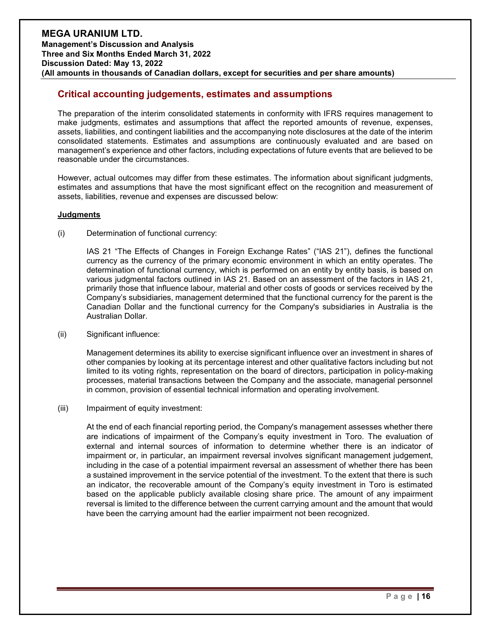### **Critical accounting judgements, estimates and assumptions**

The preparation of the interim consolidated statements in conformity with IFRS requires management to make judgments, estimates and assumptions that affect the reported amounts of revenue, expenses, assets, liabilities, and contingent liabilities and the accompanying note disclosures at the date of the interim consolidated statements. Estimates and assumptions are continuously evaluated and are based on management's experience and other factors, including expectations of future events that are believed to be reasonable under the circumstances.

However, actual outcomes may differ from these estimates. The information about significant judgments, estimates and assumptions that have the most significant effect on the recognition and measurement of assets, liabilities, revenue and expenses are discussed below:

#### **Judgments**

(i) Determination of functional currency:

IAS 21 "The Effects of Changes in Foreign Exchange Rates" ("IAS 21"), defines the functional currency as the currency of the primary economic environment in which an entity operates. The determination of functional currency, which is performed on an entity by entity basis, is based on various judgmental factors outlined in IAS 21. Based on an assessment of the factors in IAS 21, primarily those that influence labour, material and other costs of goods or services received by the Company's subsidiaries, management determined that the functional currency for the parent is the Canadian Dollar and the functional currency for the Company's subsidiaries in Australia is the Australian Dollar.

(ii) Significant influence:

Management determines its ability to exercise significant influence over an investment in shares of other companies by looking at its percentage interest and other qualitative factors including but not limited to its voting rights, representation on the board of directors, participation in policy-making processes, material transactions between the Company and the associate, managerial personnel in common, provision of essential technical information and operating involvement.

(iii) Impairment of equity investment:

At the end of each financial reporting period, the Company's management assesses whether there are indications of impairment of the Company's equity investment in Toro. The evaluation of external and internal sources of information to determine whether there is an indicator of impairment or, in particular, an impairment reversal involves significant management judgement, including in the case of a potential impairment reversal an assessment of whether there has been a sustained improvement in the service potential of the investment. To the extent that there is such an indicator, the recoverable amount of the Company's equity investment in Toro is estimated based on the applicable publicly available closing share price. The amount of any impairment reversal is limited to the difference between the current carrying amount and the amount that would have been the carrying amount had the earlier impairment not been recognized.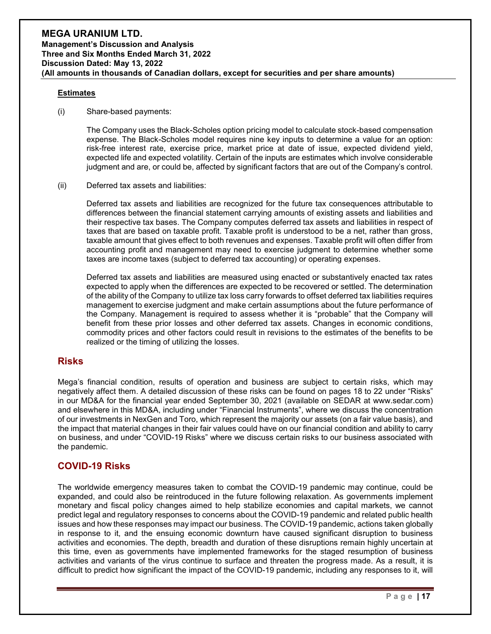#### **Estimates**

(i) Share-based payments:

The Company uses the Black-Scholes option pricing model to calculate stock-based compensation expense. The Black-Scholes model requires nine key inputs to determine a value for an option: risk-free interest rate, exercise price, market price at date of issue, expected dividend yield, expected life and expected volatility. Certain of the inputs are estimates which involve considerable judgment and are, or could be, affected by significant factors that are out of the Company's control.

### (ii) Deferred tax assets and liabilities:

Deferred tax assets and liabilities are recognized for the future tax consequences attributable to differences between the financial statement carrying amounts of existing assets and liabilities and their respective tax bases. The Company computes deferred tax assets and liabilities in respect of taxes that are based on taxable profit. Taxable profit is understood to be a net, rather than gross, taxable amount that gives effect to both revenues and expenses. Taxable profit will often differ from accounting profit and management may need to exercise judgment to determine whether some taxes are income taxes (subject to deferred tax accounting) or operating expenses.

Deferred tax assets and liabilities are measured using enacted or substantively enacted tax rates expected to apply when the differences are expected to be recovered or settled. The determination of the ability of the Company to utilize tax loss carry forwards to offset deferred tax liabilities requires management to exercise judgment and make certain assumptions about the future performance of the Company. Management is required to assess whether it is "probable" that the Company will benefit from these prior losses and other deferred tax assets. Changes in economic conditions, commodity prices and other factors could result in revisions to the estimates of the benefits to be realized or the timing of utilizing the losses.

### **Risks**

Mega's financial condition, results of operation and business are subject to certain risks, which may negatively affect them. A detailed discussion of these risks can be found on pages 18 to 22 under "Risks" in our MD&A for the financial year ended September 30, 2021 (available on SEDAR at www.sedar.com) and elsewhere in this MD&A, including under "Financial Instruments", where we discuss the concentration of our investments in NexGen and Toro, which represent the majority our assets (on a fair value basis), and the impact that material changes in their fair values could have on our financial condition and ability to carry on business, and under "COVID-19 Risks" where we discuss certain risks to our business associated with the pandemic.

### **COVID-19 Risks**

The worldwide emergency measures taken to combat the COVID-19 pandemic may continue, could be expanded, and could also be reintroduced in the future following relaxation. As governments implement monetary and fiscal policy changes aimed to help stabilize economies and capital markets, we cannot predict legal and regulatory responses to concerns about the COVID-19 pandemic and related public health issues and how these responses may impact our business. The COVID-19 pandemic, actions taken globally in response to it, and the ensuing economic downturn have caused significant disruption to business activities and economies. The depth, breadth and duration of these disruptions remain highly uncertain at this time, even as governments have implemented frameworks for the staged resumption of business activities and variants of the virus continue to surface and threaten the progress made. As a result, it is difficult to predict how significant the impact of the COVID-19 pandemic, including any responses to it, will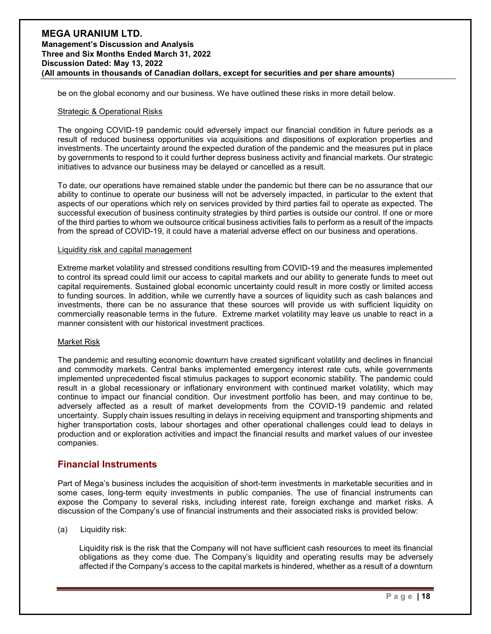be on the global economy and our business. We have outlined these risks in more detail below.

#### Strategic & Operational Risks

The ongoing COVID-19 pandemic could adversely impact our financial condition in future periods as a result of reduced business opportunities via acquisitions and dispositions of exploration properties and investments. The uncertainty around the expected duration of the pandemic and the measures put in place by governments to respond to it could further depress business activity and financial markets. Our strategic initiatives to advance our business may be delayed or cancelled as a result.

To date, our operations have remained stable under the pandemic but there can be no assurance that our ability to continue to operate our business will not be adversely impacted, in particular to the extent that aspects of our operations which rely on services provided by third parties fail to operate as expected. The successful execution of business continuity strategies by third parties is outside our control. If one or more of the third parties to whom we outsource critical business activities fails to perform as a result of the impacts from the spread of COVID-19, it could have a material adverse effect on our business and operations.

#### Liquidity risk and capital management

Extreme market volatility and stressed conditions resulting from COVID-19 and the measures implemented to control its spread could limit our access to capital markets and our ability to generate funds to meet out capital requirements. Sustained global economic uncertainty could result in more costly or limited access to funding sources. In addition, while we currently have a sources of liquidity such as cash balances and investments, there can be no assurance that these sources will provide us with sufficient liquidity on commercially reasonable terms in the future. Extreme market volatility may leave us unable to react in a manner consistent with our historical investment practices.

#### Market Risk

The pandemic and resulting economic downturn have created significant volatility and declines in financial and commodity markets. Central banks implemented emergency interest rate cuts, while governments implemented unprecedented fiscal stimulus packages to support economic stability. The pandemic could result in a global recessionary or inflationary environment with continued market volatility, which may continue to impact our financial condition. Our investment portfolio has been, and may continue to be, adversely affected as a result of market developments from the COVID-19 pandemic and related uncertainty. Supply chain issues resulting in delays in receiving equipment and transporting shipments and higher transportation costs, labour shortages and other operational challenges could lead to delays in production and or exploration activities and impact the financial results and market values of our investee companies.

### **Financial Instruments**

Part of Mega's business includes the acquisition of short-term investments in marketable securities and in some cases, long-term equity investments in public companies. The use of financial instruments can expose the Company to several risks, including interest rate, foreign exchange and market risks. A discussion of the Company's use of financial instruments and their associated risks is provided below:

#### (a) Liquidity risk:

Liquidity risk is the risk that the Company will not have sufficient cash resources to meet its financial obligations as they come due. The Company's liquidity and operating results may be adversely affected if the Company's access to the capital markets is hindered, whether as a result of a downturn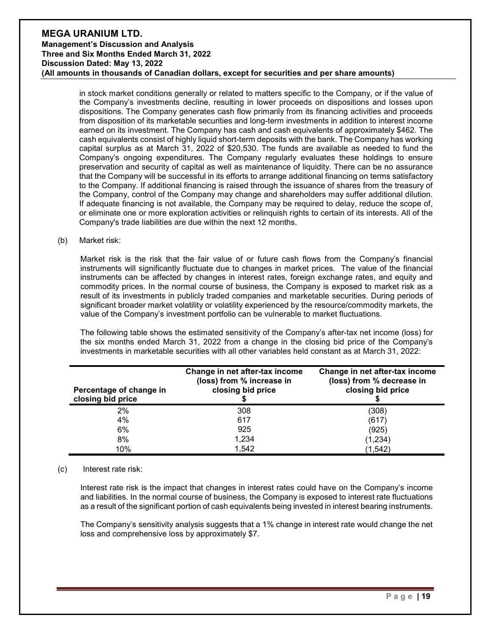in stock market conditions generally or related to matters specific to the Company, or if the value of the Company's investments decline, resulting in lower proceeds on dispositions and losses upon dispositions. The Company generates cash flow primarily from its financing activities and proceeds from disposition of its marketable securities and long-term investments in addition to interest income earned on its investment. The Company has cash and cash equivalents of approximately \$462. The cash equivalents consist of highly liquid short-term deposits with the bank. The Company has working capital surplus as at March 31, 2022 of \$20,530. The funds are available as needed to fund the Company's ongoing expenditures. The Company regularly evaluates these holdings to ensure preservation and security of capital as well as maintenance of liquidity. There can be no assurance that the Company will be successful in its efforts to arrange additional financing on terms satisfactory to the Company. If additional financing is raised through the issuance of shares from the treasury of the Company, control of the Company may change and shareholders may suffer additional dilution. If adequate financing is not available, the Company may be required to delay, reduce the scope of, or eliminate one or more exploration activities or relinquish rights to certain of its interests. All of the Company's trade liabilities are due within the next 12 months.

#### (b) Market risk:

Market risk is the risk that the fair value of or future cash flows from the Company's financial instruments will significantly fluctuate due to changes in market prices. The value of the financial instruments can be affected by changes in interest rates, foreign exchange rates, and equity and commodity prices. In the normal course of business, the Company is exposed to market risk as a result of its investments in publicly traded companies and marketable securities. During periods of significant broader market volatility or volatility experienced by the resource/commodity markets, the value of the Company's investment portfolio can be vulnerable to market fluctuations.

The following table shows the estimated sensitivity of the Company's after-tax net income (loss) for the six months ended March 31, 2022 from a change in the closing bid price of the Company's investments in marketable securities with all other variables held constant as at March 31, 2022:

| Percentage of change in<br>closing bid price | Change in net after-tax income<br>(loss) from % increase in<br>closing bid price | Change in net after-tax income<br>(loss) from % decrease in<br>closing bid price |
|----------------------------------------------|----------------------------------------------------------------------------------|----------------------------------------------------------------------------------|
| $2\%$                                        | 308                                                                              | (308)                                                                            |
| 4%                                           | 617                                                                              | (617)                                                                            |
| 6%                                           | 925                                                                              | (925)                                                                            |
| 8%                                           | 1,234                                                                            | (1, 234)                                                                         |
| 10%                                          | 1,542                                                                            | (1, 542)                                                                         |

#### (c) Interest rate risk:

Interest rate risk is the impact that changes in interest rates could have on the Company's income and liabilities. In the normal course of business, the Company is exposed to interest rate fluctuations as a result of the significant portion of cash equivalents being invested in interest bearing instruments.

The Company's sensitivity analysis suggests that a 1% change in interest rate would change the net loss and comprehensive loss by approximately \$7.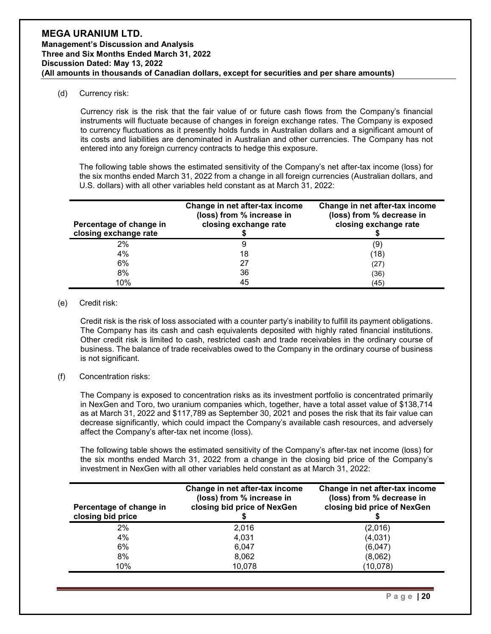(d) Currency risk:

Currency risk is the risk that the fair value of or future cash flows from the Company's financial instruments will fluctuate because of changes in foreign exchange rates. The Company is exposed to currency fluctuations as it presently holds funds in Australian dollars and a significant amount of its costs and liabilities are denominated in Australian and other currencies. The Company has not entered into any foreign currency contracts to hedge this exposure.

The following table shows the estimated sensitivity of the Company's net after-tax income (loss) for the six months ended March 31, 2022 from a change in all foreign currencies (Australian dollars, and U.S. dollars) with all other variables held constant as at March 31, 2022:

| Percentage of change in<br>closing exchange rate | Change in net after-tax income<br>(loss) from % increase in<br>closing exchange rate | Change in net after-tax income<br>(loss) from % decrease in<br>closing exchange rate |
|--------------------------------------------------|--------------------------------------------------------------------------------------|--------------------------------------------------------------------------------------|
| 2%                                               | 9                                                                                    | (9)                                                                                  |
| 4%                                               | 18                                                                                   | (18)                                                                                 |
| 6%                                               | 27                                                                                   | 27                                                                                   |
| 8%                                               | 36                                                                                   | (36)                                                                                 |
| 10%                                              | 45                                                                                   | (45)                                                                                 |

#### (e) Credit risk:

Credit risk is the risk of loss associated with a counter party's inability to fulfill its payment obligations. The Company has its cash and cash equivalents deposited with highly rated financial institutions. Other credit risk is limited to cash, restricted cash and trade receivables in the ordinary course of business. The balance of trade receivables owed to the Company in the ordinary course of business is not significant.

### (f) Concentration risks:

The Company is exposed to concentration risks as its investment portfolio is concentrated primarily in NexGen and Toro, two uranium companies which, together, have a total asset value of \$138,714 as at March 31, 2022 and \$117,789 as September 30, 2021 and poses the risk that its fair value can decrease significantly, which could impact the Company's available cash resources, and adversely affect the Company's after-tax net income (loss).

The following table shows the estimated sensitivity of the Company's after-tax net income (loss) for the six months ended March 31, 2022 from a change in the closing bid price of the Company's investment in NexGen with all other variables held constant as at March 31, 2022:

| Percentage of change in<br>closing bid price | Change in net after-tax income<br>(loss) from % increase in<br>closing bid price of NexGen | Change in net after-tax income<br>(loss) from % decrease in<br>closing bid price of NexGen |
|----------------------------------------------|--------------------------------------------------------------------------------------------|--------------------------------------------------------------------------------------------|
| 2%                                           | 2,016                                                                                      | (2,016)                                                                                    |
| 4%                                           | 4,031                                                                                      | (4,031)                                                                                    |
| 6%                                           | 6,047                                                                                      | (6,047)                                                                                    |
| 8%                                           | 8,062                                                                                      | (8,062)                                                                                    |
| 10%                                          | 10,078                                                                                     | (10, 078)                                                                                  |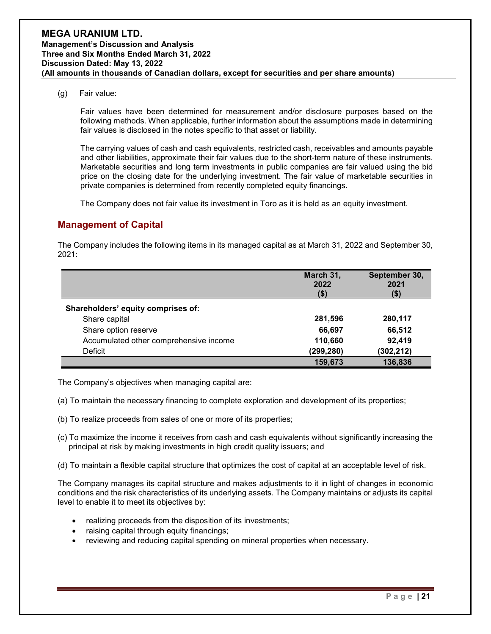(g) Fair value:

Fair values have been determined for measurement and/or disclosure purposes based on the following methods. When applicable, further information about the assumptions made in determining fair values is disclosed in the notes specific to that asset or liability.

The carrying values of cash and cash equivalents, restricted cash, receivables and amounts payable and other liabilities, approximate their fair values due to the short-term nature of these instruments. Marketable securities and long term investments in public companies are fair valued using the bid price on the closing date for the underlying investment. The fair value of marketable securities in private companies is determined from recently completed equity financings.

The Company does not fair value its investment in Toro as it is held as an equity investment.

### **Management of Capital**

The Company includes the following items in its managed capital as at March 31, 2022 and September 30, 2021:

|                                        | March 31,<br>2022<br>$($ \$) | September 30,<br>2021<br>\$) |
|----------------------------------------|------------------------------|------------------------------|
| Shareholders' equity comprises of:     |                              |                              |
| Share capital                          | 281,596                      | 280,117                      |
| Share option reserve                   | 66,697                       | 66,512                       |
| Accumulated other comprehensive income | 110,660                      | 92,419                       |
| Deficit                                | (299, 280)                   | (302, 212)                   |
|                                        | 159,673                      | 136,836                      |

The Company's objectives when managing capital are:

- (a) To maintain the necessary financing to complete exploration and development of its properties;
- (b) To realize proceeds from sales of one or more of its properties;
- (c) To maximize the income it receives from cash and cash equivalents without significantly increasing the principal at risk by making investments in high credit quality issuers; and
- (d) To maintain a flexible capital structure that optimizes the cost of capital at an acceptable level of risk.

The Company manages its capital structure and makes adjustments to it in light of changes in economic conditions and the risk characteristics of its underlying assets. The Company maintains or adjusts its capital level to enable it to meet its objectives by:

- realizing proceeds from the disposition of its investments;
- raising capital through equity financings;
- reviewing and reducing capital spending on mineral properties when necessary.